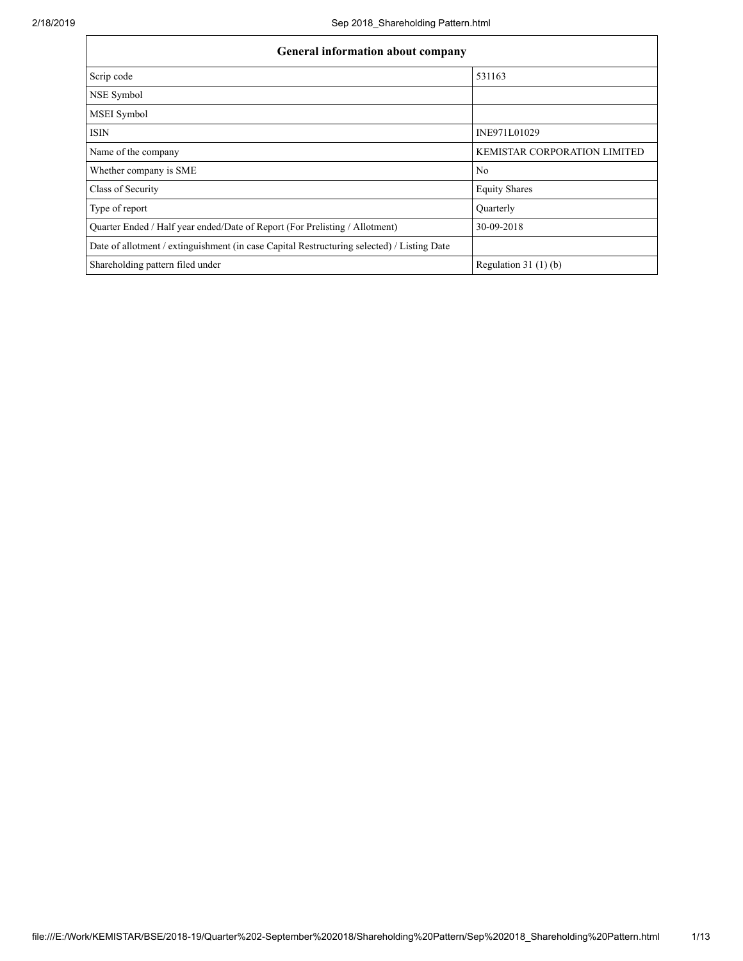| <b>General information about company</b>                                                   |                                     |  |  |  |  |  |  |  |
|--------------------------------------------------------------------------------------------|-------------------------------------|--|--|--|--|--|--|--|
| Scrip code                                                                                 | 531163                              |  |  |  |  |  |  |  |
| NSE Symbol                                                                                 |                                     |  |  |  |  |  |  |  |
| <b>MSEI</b> Symbol                                                                         |                                     |  |  |  |  |  |  |  |
| <b>ISIN</b>                                                                                | INE971L01029                        |  |  |  |  |  |  |  |
| Name of the company                                                                        | <b>KEMISTAR CORPORATION LIMITED</b> |  |  |  |  |  |  |  |
| Whether company is SME                                                                     | N <sub>0</sub>                      |  |  |  |  |  |  |  |
| Class of Security                                                                          | <b>Equity Shares</b>                |  |  |  |  |  |  |  |
| Type of report                                                                             | Quarterly                           |  |  |  |  |  |  |  |
| Quarter Ended / Half year ended/Date of Report (For Prelisting / Allotment)                | 30-09-2018                          |  |  |  |  |  |  |  |
| Date of allotment / extinguishment (in case Capital Restructuring selected) / Listing Date |                                     |  |  |  |  |  |  |  |
| Shareholding pattern filed under                                                           | Regulation $31(1)(b)$               |  |  |  |  |  |  |  |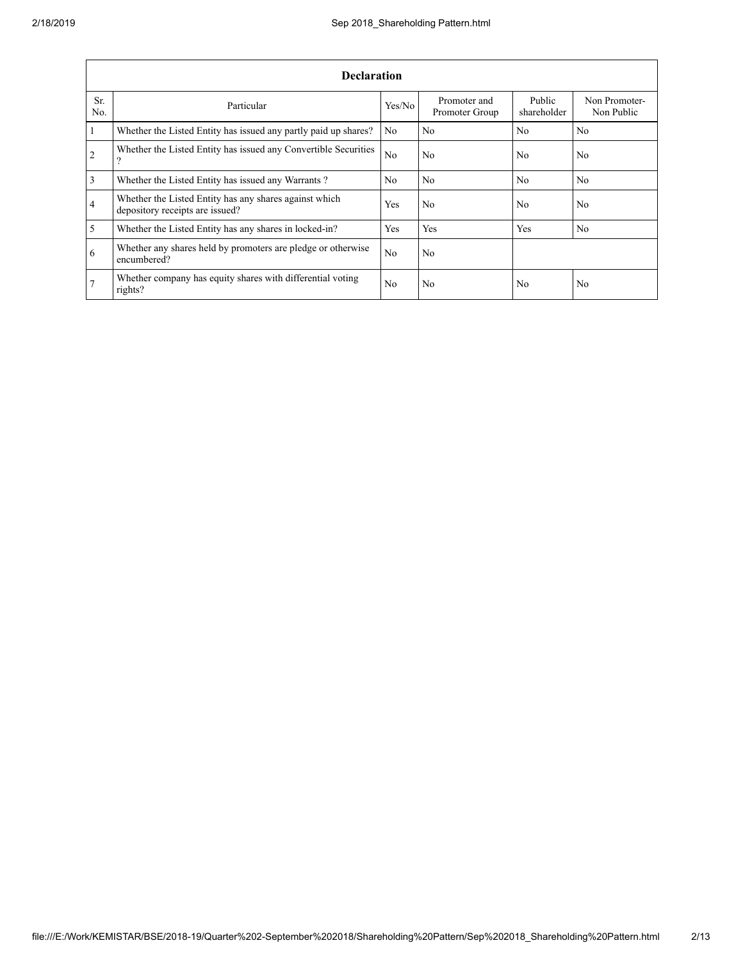|                | <b>Declaration</b>                                                                        |                |                                |                       |                             |  |  |  |  |
|----------------|-------------------------------------------------------------------------------------------|----------------|--------------------------------|-----------------------|-----------------------------|--|--|--|--|
| Sr.<br>No.     | Particular                                                                                | Yes/No         | Promoter and<br>Promoter Group | Public<br>shareholder | Non Promoter-<br>Non Public |  |  |  |  |
| $\mathbf{1}$   | Whether the Listed Entity has issued any partly paid up shares?                           | No             | N <sub>0</sub>                 | No.                   | N <sub>0</sub>              |  |  |  |  |
| <sup>2</sup>   | Whether the Listed Entity has issued any Convertible Securities<br>9                      | N <sub>0</sub> | N <sub>0</sub>                 | No                    | N <sub>0</sub>              |  |  |  |  |
| $\overline{3}$ | Whether the Listed Entity has issued any Warrants?                                        | No.            | N <sub>0</sub>                 | N <sub>0</sub>        | N <sub>0</sub>              |  |  |  |  |
| $\overline{4}$ | Whether the Listed Entity has any shares against which<br>depository receipts are issued? | Yes            | N <sub>0</sub>                 | No.                   | N <sub>0</sub>              |  |  |  |  |
| $\overline{5}$ | Whether the Listed Entity has any shares in locked-in?                                    | <b>Yes</b>     | Yes                            | Yes                   | N <sub>0</sub>              |  |  |  |  |
| 6              | Whether any shares held by promoters are pledge or otherwise<br>encumbered?               | No.            | N <sub>0</sub>                 |                       |                             |  |  |  |  |
| 7              | Whether company has equity shares with differential voting<br>rights?                     | No             | N <sub>0</sub>                 | No                    | N <sub>0</sub>              |  |  |  |  |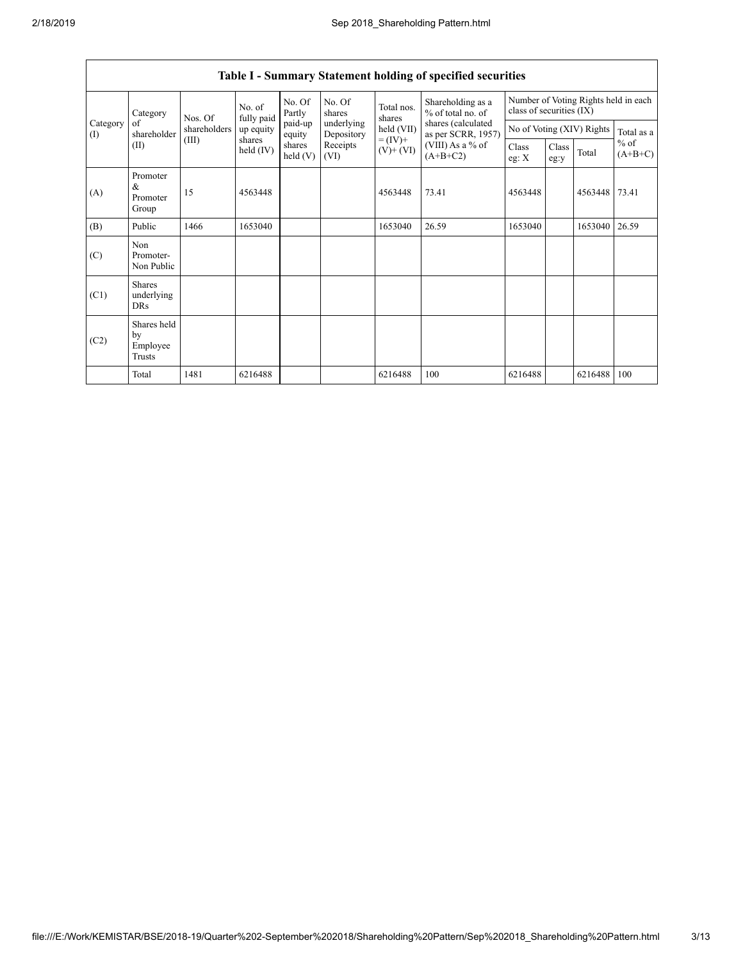|                 | Category                                | Nos. Of      | No. of<br>fully paid | No. Of<br>Partly     | No. Of<br>shares         | Total nos.<br>shares<br>held (VII)<br>$= (IV) +$<br>$(V)$ + $(VI)$ | Shareholding as a<br>% of total no. of<br>shares (calculated<br>as per SCRR, 1957) | Number of Voting Rights held in each<br>class of securities (IX) |                           |               |                     |
|-----------------|-----------------------------------------|--------------|----------------------|----------------------|--------------------------|--------------------------------------------------------------------|------------------------------------------------------------------------------------|------------------------------------------------------------------|---------------------------|---------------|---------------------|
| Category<br>(I) | of<br>shareholder                       | shareholders | up equity            | paid-up<br>equity    | underlying<br>Depository |                                                                    |                                                                                    |                                                                  | No of Voting (XIV) Rights |               | Total as a          |
|                 | (II)                                    | (III)        | shares<br>held (IV)  | shares<br>held $(V)$ | Receipts<br>(VI)         |                                                                    | (VIII) As a % of<br>$(A+B+C2)$                                                     | Class<br>eg: $X$                                                 | Class<br>eg:y             | Total         | $%$ of<br>$(A+B+C)$ |
| (A)             | Promoter<br>$\&$<br>Promoter<br>Group   | 15           | 4563448              |                      |                          | 4563448                                                            | 73.41                                                                              | 4563448                                                          |                           | 4563448 73.41 |                     |
| (B)             | Public                                  | 1466         | 1653040              |                      |                          | 1653040                                                            | 26.59                                                                              | 1653040                                                          |                           | 1653040       | 26.59               |
| (C)             | Non<br>Promoter-<br>Non Public          |              |                      |                      |                          |                                                                    |                                                                                    |                                                                  |                           |               |                     |
| (C1)            | <b>Shares</b><br>underlying<br>DRs      |              |                      |                      |                          |                                                                    |                                                                                    |                                                                  |                           |               |                     |
| (C2)            | Shares held<br>by<br>Employee<br>Trusts |              |                      |                      |                          |                                                                    |                                                                                    |                                                                  |                           |               |                     |
|                 | Total                                   | 1481         | 6216488              |                      |                          | 6216488                                                            | 100                                                                                | 6216488                                                          |                           | 6216488       | 100                 |

# **Table I - Summary Statement holding of specified securities**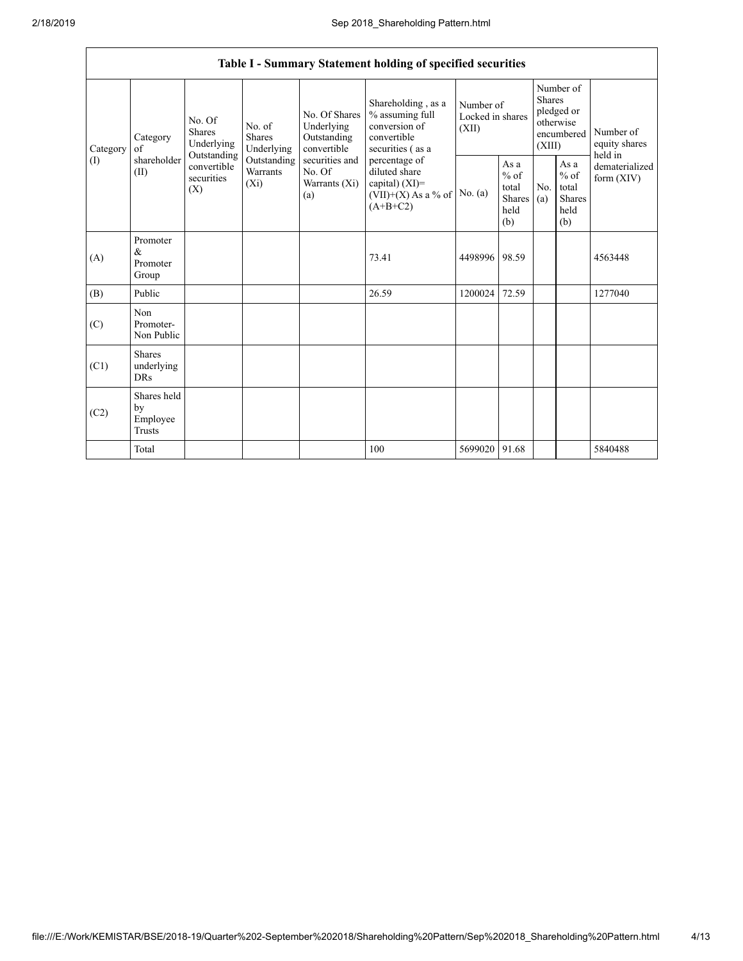|      |                                                                                                                                                                                                                                                                                                                                        |                                                                                            |           | Table I - Summary Statement holding of specified securities                               |                                        |                                                         |                                                                               |  |                                       |
|------|----------------------------------------------------------------------------------------------------------------------------------------------------------------------------------------------------------------------------------------------------------------------------------------------------------------------------------------|--------------------------------------------------------------------------------------------|-----------|-------------------------------------------------------------------------------------------|----------------------------------------|---------------------------------------------------------|-------------------------------------------------------------------------------|--|---------------------------------------|
|      | No. Of Shares<br>No. Of<br>Underlying<br>No. of<br><b>Shares</b><br>Shares<br>Category<br>Outstanding<br>Underlying<br>Underlying<br>convertible<br>Category<br>of<br>Outstanding<br>shareholder<br>Outstanding<br>securities and<br>convertible<br>Warrants<br>No. Of<br>(II)<br>securities<br>$(X_i)$<br>Warrants (Xi)<br>(X)<br>(a) |                                                                                            |           | Shareholding, as a<br>% assuming full<br>conversion of<br>convertible<br>securities (as a | Number of<br>Locked in shares<br>(XII) |                                                         | Number of<br><b>Shares</b><br>pledged or<br>otherwise<br>encumbered<br>(XIII) |  | Number of<br>equity shares<br>held in |
| (1)  |                                                                                                                                                                                                                                                                                                                                        | percentage of<br>diluted share<br>capital) $(XI)$ =<br>$(VII)+(X)$ As a % of<br>$(A+B+C2)$ | No. $(a)$ | As a<br>$%$ of<br>total<br>Shares<br>held<br>(b)                                          | No.<br>(a)                             | As a<br>$%$ of<br>total<br><b>Shares</b><br>held<br>(b) | dematerialized<br>form $(XIV)$                                                |  |                                       |
| (A)  | Promoter<br>&<br>Promoter<br>Group                                                                                                                                                                                                                                                                                                     |                                                                                            |           | 73.41                                                                                     | 4498996                                | 98.59                                                   |                                                                               |  | 4563448                               |
| (B)  | Public                                                                                                                                                                                                                                                                                                                                 |                                                                                            |           | 26.59                                                                                     | 1200024                                | 72.59                                                   |                                                                               |  | 1277040                               |
| (C)  | Non<br>Promoter-<br>Non Public                                                                                                                                                                                                                                                                                                         |                                                                                            |           |                                                                                           |                                        |                                                         |                                                                               |  |                                       |
| (C1) | <b>Shares</b><br>underlying<br><b>DRs</b>                                                                                                                                                                                                                                                                                              |                                                                                            |           |                                                                                           |                                        |                                                         |                                                                               |  |                                       |
| (C2) | Shares held<br>by<br>Employee<br>Trusts                                                                                                                                                                                                                                                                                                |                                                                                            |           |                                                                                           |                                        |                                                         |                                                                               |  |                                       |
|      | Total                                                                                                                                                                                                                                                                                                                                  |                                                                                            |           | 100                                                                                       | 5699020 91.68                          |                                                         |                                                                               |  | 5840488                               |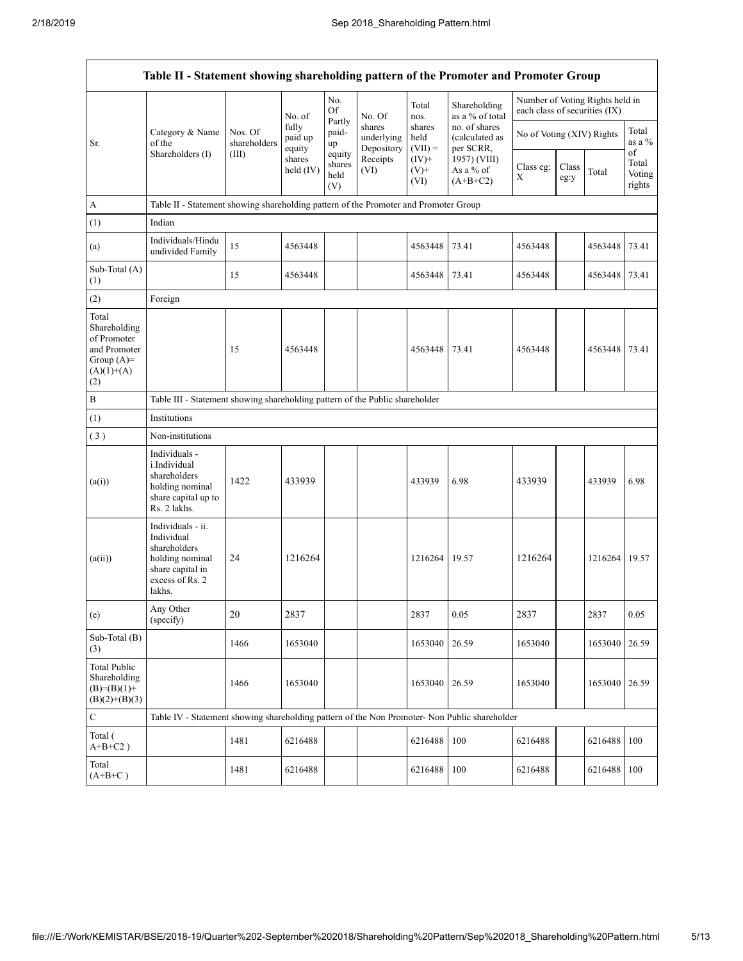|                                                                                             | Table II - Statement showing shareholding pattern of the Promoter and Promoter Group                                |                         |                            |                                 |                                    |                             |                                              |                                                                  |               |               |                                 |
|---------------------------------------------------------------------------------------------|---------------------------------------------------------------------------------------------------------------------|-------------------------|----------------------------|---------------------------------|------------------------------------|-----------------------------|----------------------------------------------|------------------------------------------------------------------|---------------|---------------|---------------------------------|
|                                                                                             |                                                                                                                     |                         | No. of                     | No.<br><b>Of</b>                | No. Of                             | Total<br>nos.               | Shareholding<br>as a % of total              | Number of Voting Rights held in<br>each class of securities (IX) |               |               |                                 |
| Sr.                                                                                         | Category & Name<br>of the                                                                                           | Nos. Of<br>shareholders | fully<br>paid up<br>equity | Partly<br>paid-<br>up           | shares<br>underlying<br>Depository | shares<br>held<br>$(VII) =$ | no. of shares<br>(calculated as<br>per SCRR, | No of Voting (XIV) Rights                                        |               |               | Total<br>as a %                 |
|                                                                                             | Shareholders (I)                                                                                                    | (III)                   | shares<br>held (IV)        | equity<br>shares<br>held<br>(V) | Receipts<br>(VI)                   | $(IV)+$<br>$(V)$ +<br>(VI)  | 1957) (VIII)<br>As a % of<br>$(A+B+C2)$      | Class eg:<br>X                                                   | Class<br>eg:y | Total         | οf<br>Total<br>Voting<br>rights |
| $\mathbf{A}$                                                                                | Table II - Statement showing shareholding pattern of the Promoter and Promoter Group                                |                         |                            |                                 |                                    |                             |                                              |                                                                  |               |               |                                 |
| (1)                                                                                         | Indian                                                                                                              |                         |                            |                                 |                                    |                             |                                              |                                                                  |               |               |                                 |
| (a)                                                                                         | Individuals/Hindu<br>undivided Family                                                                               | 15                      | 4563448                    |                                 |                                    | 4563448                     | 73.41                                        | 4563448                                                          |               | 4563448       | 73.41                           |
| Sub-Total (A)<br>(1)                                                                        |                                                                                                                     | 15                      | 4563448                    |                                 |                                    | 4563448                     | 73.41                                        | 4563448                                                          |               | 4563448       | 73.41                           |
| (2)                                                                                         | Foreign                                                                                                             |                         |                            |                                 |                                    |                             |                                              |                                                                  |               |               |                                 |
| Total<br>Shareholding<br>of Promoter<br>and Promoter<br>Group $(A)=$<br>$(A)(1)+(A)$<br>(2) |                                                                                                                     | 15                      | 4563448                    |                                 |                                    | 4563448                     | 73.41                                        | 4563448                                                          |               | 4563448       | 73.41                           |
| $\, {\bf B}$                                                                                | Table III - Statement showing shareholding pattern of the Public shareholder                                        |                         |                            |                                 |                                    |                             |                                              |                                                                  |               |               |                                 |
| (1)                                                                                         | Institutions                                                                                                        |                         |                            |                                 |                                    |                             |                                              |                                                                  |               |               |                                 |
| (3)                                                                                         | Non-institutions                                                                                                    |                         |                            |                                 |                                    |                             |                                              |                                                                  |               |               |                                 |
| (a(i))                                                                                      | Individuals -<br>i.Individual<br>shareholders<br>holding nominal<br>share capital up to<br>Rs. 2 lakhs.             | 1422                    | 433939                     |                                 |                                    | 433939                      | 6.98                                         | 433939                                                           |               | 433939        | 6.98                            |
| (a(ii))                                                                                     | Individuals - ii.<br>Individual<br>shareholders<br>holding nominal<br>share capital in<br>excess of Rs. 2<br>lakhs. | 24                      | 1216264                    |                                 |                                    | 1216264                     | 19.57                                        | 1216264                                                          |               | 1216264       | 19.57                           |
| (e)                                                                                         | Any Other<br>(specify)                                                                                              | $20\,$                  | 2837                       |                                 |                                    | 2837                        | 0.05                                         | 2837                                                             |               | 2837          | 0.05                            |
| Sub-Total (B)<br>(3)                                                                        |                                                                                                                     | 1466                    | 1653040                    |                                 |                                    | 1653040                     | 26.59                                        | 1653040                                                          |               | 1653040       | 26.59                           |
| <b>Total Public</b><br>Shareholding<br>$(B)=(B)(1)+$<br>$(B)(2)+(B)(3)$                     |                                                                                                                     | 1466                    | 1653040                    |                                 |                                    | 1653040                     | 26.59                                        | 1653040                                                          |               | 1653040 26.59 |                                 |
| ${\bf C}$                                                                                   | Table IV - Statement showing shareholding pattern of the Non Promoter- Non Public shareholder                       |                         |                            |                                 |                                    |                             |                                              |                                                                  |               |               |                                 |
| Total (<br>$A+B+C2$ )                                                                       |                                                                                                                     | 1481                    | 6216488                    |                                 |                                    | 6216488                     | 100                                          | 6216488                                                          |               | 6216488       | 100                             |
| Total<br>$(A+B+C)$                                                                          |                                                                                                                     | 1481                    | 6216488                    |                                 |                                    | 6216488                     | 100                                          | 6216488                                                          |               | 6216488       | 100                             |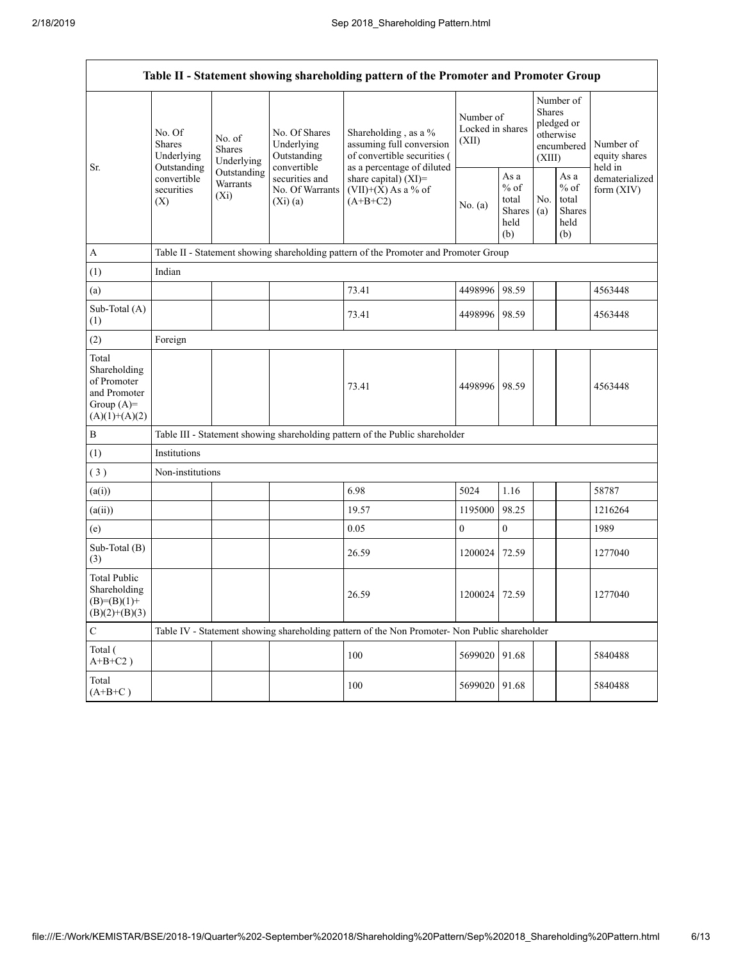$\overline{\phantom{a}}$ 

|                                                                                         | Table II - Statement showing shareholding pattern of the Promoter and Promoter Group |                                                                                                   |                                            |                                                                                               |                                        |                                                         |                                                                        |                                                          |                                       |
|-----------------------------------------------------------------------------------------|--------------------------------------------------------------------------------------|---------------------------------------------------------------------------------------------------|--------------------------------------------|-----------------------------------------------------------------------------------------------|----------------------------------------|---------------------------------------------------------|------------------------------------------------------------------------|----------------------------------------------------------|---------------------------------------|
|                                                                                         | No. Of<br><b>Shares</b><br>Underlying                                                | No. of<br><b>Shares</b><br>Underlying                                                             | No. Of Shares<br>Underlying<br>Outstanding | Shareholding, as a %<br>assuming full conversion<br>of convertible securities (               | Number of<br>Locked in shares<br>(XII) |                                                         | Number of<br>Shares<br>pledged or<br>otherwise<br>encumbered<br>(XIII) |                                                          | Number of<br>equity shares<br>held in |
| Sr.                                                                                     | Outstanding<br>convertible<br>securities<br>(X)                                      | convertible<br>Outstanding<br>securities and<br>Warrants<br>No. Of Warrants<br>$(X_i)$<br>(Xi)(a) |                                            | as a percentage of diluted<br>share capital) (XI)=<br>$(VII)+(X)$ As a % of<br>$(A+B+C2)$     | No. $(a)$                              | As a<br>$%$ of<br>total<br><b>Shares</b><br>held<br>(b) | No.<br>(a)                                                             | As a<br>$\%$ of<br>total<br><b>Shares</b><br>held<br>(b) | dematerialized<br>form $(XIV)$        |
| A                                                                                       |                                                                                      |                                                                                                   |                                            | Table II - Statement showing shareholding pattern of the Promoter and Promoter Group          |                                        |                                                         |                                                                        |                                                          |                                       |
| (1)                                                                                     | Indian                                                                               |                                                                                                   |                                            |                                                                                               |                                        |                                                         |                                                                        |                                                          |                                       |
| (a)                                                                                     |                                                                                      |                                                                                                   |                                            | 73.41                                                                                         | 4498996                                | 98.59                                                   |                                                                        |                                                          | 4563448                               |
| Sub-Total (A)<br>(1)                                                                    |                                                                                      |                                                                                                   |                                            | 73.41                                                                                         | 4498996 98.59                          |                                                         |                                                                        |                                                          | 4563448                               |
| (2)                                                                                     | Foreign                                                                              |                                                                                                   |                                            |                                                                                               |                                        |                                                         |                                                                        |                                                          |                                       |
| Total<br>Shareholding<br>of Promoter<br>and Promoter<br>Group $(A)=$<br>$(A)(1)+(A)(2)$ |                                                                                      |                                                                                                   |                                            | 73.41                                                                                         | 4498996 98.59                          |                                                         |                                                                        |                                                          | 4563448                               |
| $\, {\bf B}$                                                                            |                                                                                      |                                                                                                   |                                            | Table III - Statement showing shareholding pattern of the Public shareholder                  |                                        |                                                         |                                                                        |                                                          |                                       |
| (1)                                                                                     | Institutions                                                                         |                                                                                                   |                                            |                                                                                               |                                        |                                                         |                                                                        |                                                          |                                       |
| (3)                                                                                     | Non-institutions                                                                     |                                                                                                   |                                            |                                                                                               |                                        |                                                         |                                                                        |                                                          |                                       |
| (a(i))                                                                                  |                                                                                      |                                                                                                   |                                            | 6.98                                                                                          | 5024                                   | 1.16                                                    |                                                                        |                                                          | 58787                                 |
| (a(ii))                                                                                 |                                                                                      |                                                                                                   |                                            | 19.57                                                                                         | 1195000                                | 98.25                                                   |                                                                        |                                                          | 1216264                               |
| (e)                                                                                     |                                                                                      |                                                                                                   |                                            | 0.05                                                                                          | $\boldsymbol{0}$                       | $\boldsymbol{0}$                                        |                                                                        |                                                          | 1989                                  |
| Sub-Total (B)<br>(3)                                                                    |                                                                                      |                                                                                                   |                                            | 26.59                                                                                         | 1200024                                | 72.59                                                   |                                                                        |                                                          | 1277040                               |
| <b>Total Public</b><br>Shareholding<br>$(B)=(B)(1)+$<br>$(B)(2)+(B)(3)$                 |                                                                                      |                                                                                                   |                                            | 26.59                                                                                         | 1200024                                | 72.59                                                   |                                                                        |                                                          | 1277040                               |
| $\mathbf C$                                                                             |                                                                                      |                                                                                                   |                                            | Table IV - Statement showing shareholding pattern of the Non Promoter- Non Public shareholder |                                        |                                                         |                                                                        |                                                          |                                       |
| Total (<br>$A+B+C2$ )                                                                   |                                                                                      |                                                                                                   |                                            | 100                                                                                           | 5699020                                | 91.68                                                   |                                                                        |                                                          | 5840488                               |
| Total<br>$(A+B+C)$                                                                      |                                                                                      |                                                                                                   |                                            | 100                                                                                           | 5699020                                | 91.68                                                   |                                                                        |                                                          | 5840488                               |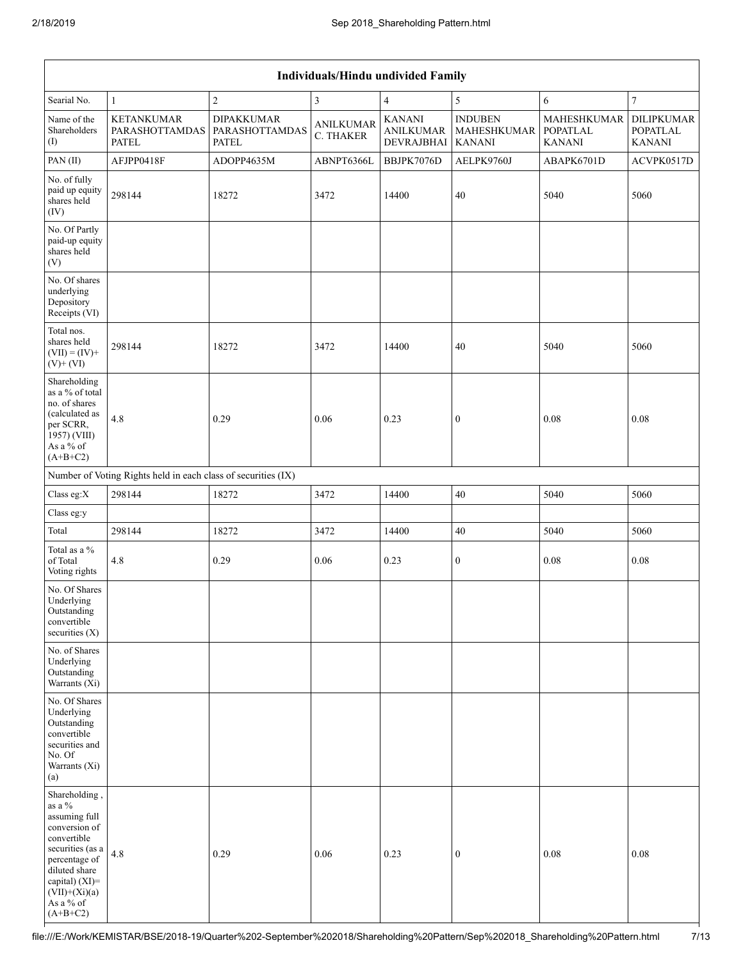|                                                                                                                                                                                                      | <b>Individuals/Hindu undivided Family</b>                     |                                                     |                               |                                                 |                                                |                                                 |                                                       |  |  |
|------------------------------------------------------------------------------------------------------------------------------------------------------------------------------------------------------|---------------------------------------------------------------|-----------------------------------------------------|-------------------------------|-------------------------------------------------|------------------------------------------------|-------------------------------------------------|-------------------------------------------------------|--|--|
| Searial No.                                                                                                                                                                                          | $\mathbf{1}$                                                  | $\overline{c}$                                      | $\mathfrak{Z}$                | $\overline{4}$                                  | 5                                              | 6                                               | $\tau$                                                |  |  |
| Name of the<br>Shareholders<br>(I)                                                                                                                                                                   | <b>KETANKUMAR</b><br>PARASHOTTAMDAS<br><b>PATEL</b>           | <b>DIPAKKUMAR</b><br>PARASHOTTAMDAS<br><b>PATEL</b> | <b>ANILKUMAR</b><br>C. THAKER | <b>KANANI</b><br><b>ANILKUMAR</b><br>DEVRAJBHAI | <b>INDUBEN</b><br>MAHESHKUMAR<br><b>KANANI</b> | MAHESHKUMAR<br><b>POPATLAL</b><br><b>KANANI</b> | <b>DILIPKUMAR</b><br><b>POPATLAL</b><br><b>KANANI</b> |  |  |
| PAN(II)                                                                                                                                                                                              | AFJPP0418F                                                    | ADOPP4635M                                          | ABNPT6366L                    | BBJPK7076D                                      | AELPK9760J                                     | ABAPK6701D                                      | ACVPK0517D                                            |  |  |
| No. of fully<br>paid up equity<br>shares held<br>(IV)                                                                                                                                                | 298144                                                        | 18272                                               | 3472                          | 14400                                           | 40                                             | 5040                                            | 5060                                                  |  |  |
| No. Of Partly<br>paid-up equity<br>shares held<br>(V)                                                                                                                                                |                                                               |                                                     |                               |                                                 |                                                |                                                 |                                                       |  |  |
| No. Of shares<br>underlying<br>Depository<br>Receipts (VI)                                                                                                                                           |                                                               |                                                     |                               |                                                 |                                                |                                                 |                                                       |  |  |
| Total nos.<br>shares held<br>$(VII) = (IV) +$<br>$(V)$ + $(VI)$                                                                                                                                      | 298144                                                        | 18272                                               | 3472                          | 14400                                           | 40                                             | 5040                                            | 5060                                                  |  |  |
| Shareholding<br>as a % of total<br>no. of shares<br>(calculated as<br>per SCRR,<br>1957) (VIII)<br>As a % of<br>$(A+B+C2)$                                                                           | 4.8                                                           | 0.29                                                | 0.06                          | 0.23                                            | $\mathbf{0}$                                   | 0.08                                            | 0.08                                                  |  |  |
|                                                                                                                                                                                                      | Number of Voting Rights held in each class of securities (IX) |                                                     |                               |                                                 |                                                |                                                 |                                                       |  |  |
| Class eg:X                                                                                                                                                                                           | 298144                                                        | 18272                                               | 3472                          | 14400                                           | 40                                             | 5040                                            | 5060                                                  |  |  |
| Class eg:y                                                                                                                                                                                           |                                                               |                                                     |                               |                                                 |                                                |                                                 |                                                       |  |  |
| Total                                                                                                                                                                                                | 298144                                                        | 18272                                               | 3472                          | 14400                                           | $40\,$                                         | 5040                                            | 5060                                                  |  |  |
| Total as a $\%$<br>of Total<br>Voting rights                                                                                                                                                         | 4.8                                                           | 0.29                                                | 0.06                          | 0.23                                            | $\boldsymbol{0}$                               | 0.08                                            | 0.08                                                  |  |  |
| No. Of Shares<br>Underlying<br>Outstanding<br>convertible<br>securities $(X)$                                                                                                                        |                                                               |                                                     |                               |                                                 |                                                |                                                 |                                                       |  |  |
| No. of Shares<br>Underlying<br>Outstanding<br>Warrants (Xi)                                                                                                                                          |                                                               |                                                     |                               |                                                 |                                                |                                                 |                                                       |  |  |
| No. Of Shares<br>Underlying<br>Outstanding<br>convertible<br>securities and<br>No. Of<br>Warrants (Xi)<br>(a)                                                                                        |                                                               |                                                     |                               |                                                 |                                                |                                                 |                                                       |  |  |
| Shareholding,<br>as a $\%$<br>assuming full<br>conversion of<br>convertible<br>securities (as a<br>percentage of<br>diluted share<br>capital) $(XI)$ =<br>$(VII)+(Xi)(a)$<br>As a % of<br>$(A+B+C2)$ | 4.8                                                           | 0.29                                                | 0.06                          | 0.23                                            | $\mathbf{0}$                                   | 0.08                                            | 0.08                                                  |  |  |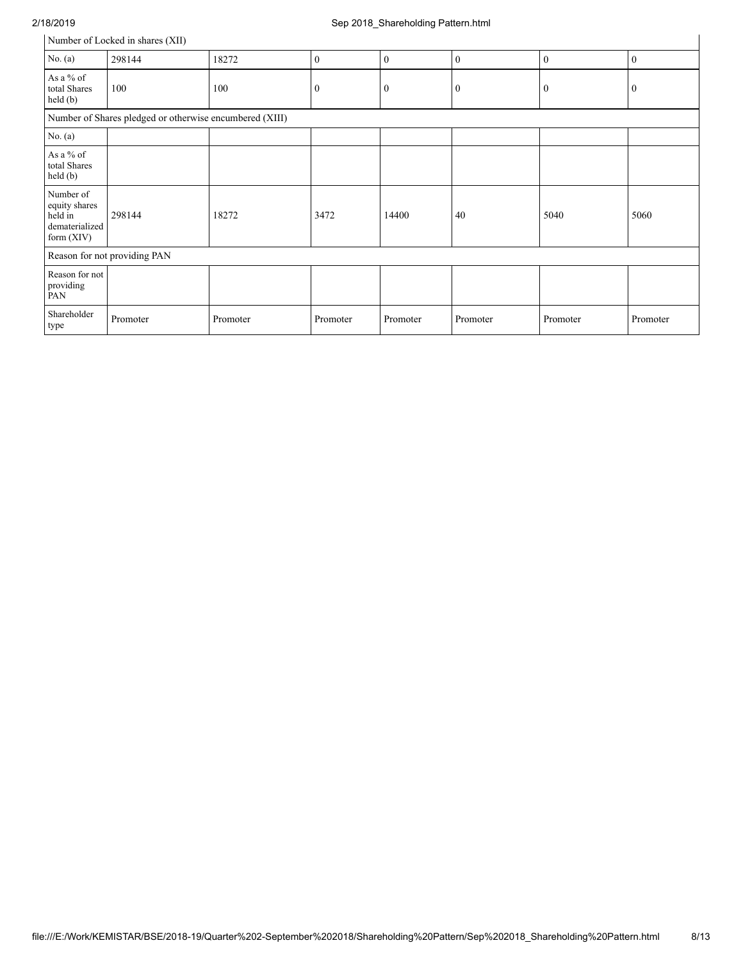# 2/18/2019 Sep 2018\_Shareholding Pattern.html

|                                                                         | Number of Locked in shares (XII)                        |          |              |              |              |              |              |
|-------------------------------------------------------------------------|---------------------------------------------------------|----------|--------------|--------------|--------------|--------------|--------------|
| No. $(a)$                                                               | 298144                                                  | 18272    | $\theta$     | $\theta$     | $\mathbf{0}$ | $\mathbf{0}$ | $\mathbf{0}$ |
| As a % of<br>total Shares<br>held(b)                                    | 100                                                     | 100      | $\mathbf{0}$ | $\mathbf{0}$ | $\mathbf{0}$ | $\mathbf{0}$ | $\mathbf{0}$ |
|                                                                         | Number of Shares pledged or otherwise encumbered (XIII) |          |              |              |              |              |              |
| No. $(a)$                                                               |                                                         |          |              |              |              |              |              |
| As a % of<br>total Shares<br>held(b)                                    |                                                         |          |              |              |              |              |              |
| Number of<br>equity shares<br>held in<br>dematerialized<br>form $(XIV)$ | 298144                                                  | 18272    | 3472         | 14400        | 40           | 5040         | 5060         |
|                                                                         | Reason for not providing PAN                            |          |              |              |              |              |              |
| Reason for not<br>providing<br>PAN                                      |                                                         |          |              |              |              |              |              |
| Shareholder<br>type                                                     | Promoter                                                | Promoter | Promoter     | Promoter     | Promoter     | Promoter     | Promoter     |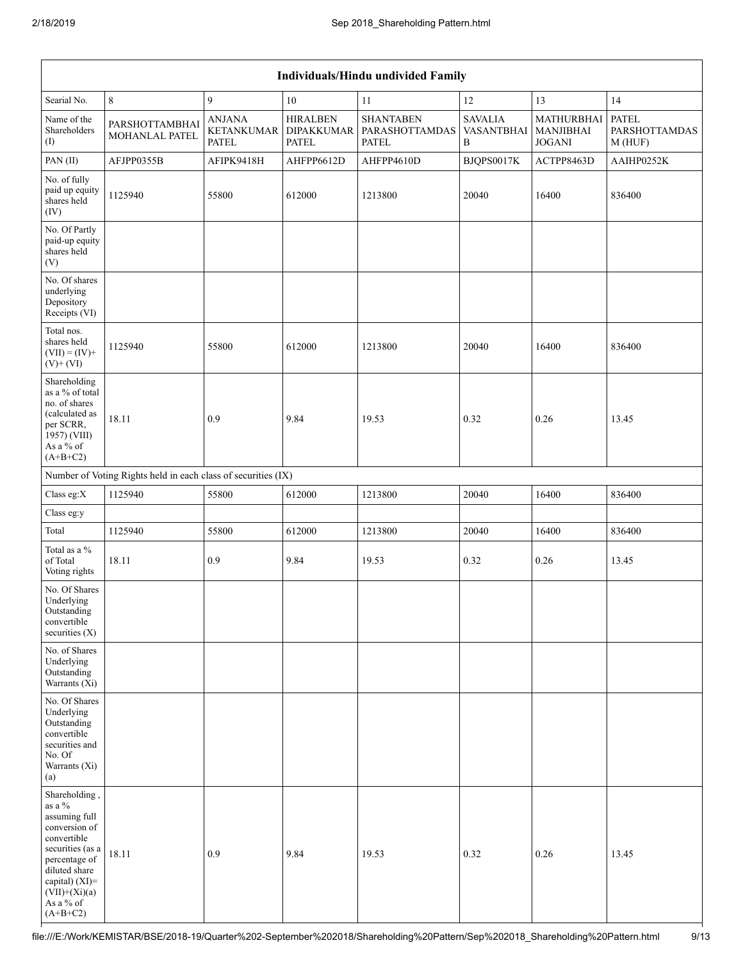|                                                                                                                                                                                                   | Individuals/Hindu undivided Family                            |                                                    |                                               |                                                    |                                   |                                                 |                                                |  |
|---------------------------------------------------------------------------------------------------------------------------------------------------------------------------------------------------|---------------------------------------------------------------|----------------------------------------------------|-----------------------------------------------|----------------------------------------------------|-----------------------------------|-------------------------------------------------|------------------------------------------------|--|
| Searial No.                                                                                                                                                                                       | $8\,$                                                         | $\mathbf{9}$                                       | 10                                            | 11                                                 | 12                                | 13                                              | 14                                             |  |
| Name of the<br>Shareholders<br>(I)                                                                                                                                                                | PARSHOTTAMBHAI<br><b>MOHANLAL PATEL</b>                       | <b>ANJANA</b><br><b>KETANKUMAR</b><br><b>PATEL</b> | <b>HIRALBEN</b><br><b>DIPAKKUMAR</b><br>PATEL | <b>SHANTABEN</b><br>PARASHOTTAMDAS<br><b>PATEL</b> | <b>SAVALIA</b><br>VASANTBHAI<br>B | MATHURBHAI<br><b>MANJIBHAI</b><br><b>JOGANI</b> | <b>PATEL</b><br><b>PARSHOTTAMDAS</b><br>M(HUF) |  |
| PAN(II)                                                                                                                                                                                           | AFJPP0355B                                                    | AFIPK9418H                                         | AHFPP6612D                                    | AHFPP4610D                                         | BJQPS0017K                        | ACTPP8463D                                      | AAIHP0252K                                     |  |
| No. of fully<br>paid up equity<br>shares held<br>(IV)                                                                                                                                             | 1125940                                                       | 55800                                              | 612000                                        | 1213800                                            | 20040                             | 16400                                           | 836400                                         |  |
| No. Of Partly<br>paid-up equity<br>shares held<br>(V)                                                                                                                                             |                                                               |                                                    |                                               |                                                    |                                   |                                                 |                                                |  |
| No. Of shares<br>underlying<br>Depository<br>Receipts (VI)                                                                                                                                        |                                                               |                                                    |                                               |                                                    |                                   |                                                 |                                                |  |
| Total nos.<br>shares held<br>$(VII) = (IV) +$<br>$(V)+(VI)$                                                                                                                                       | 1125940                                                       | 55800                                              | 612000                                        | 1213800                                            | 20040                             | 16400                                           | 836400                                         |  |
| Shareholding<br>as a % of total<br>no. of shares<br>(calculated as<br>per SCRR,<br>1957) (VIII)<br>As a % of<br>$(A+B+C2)$                                                                        | 18.11                                                         | 0.9                                                | 9.84                                          | 19.53                                              | 0.32                              | 0.26                                            | 13.45                                          |  |
|                                                                                                                                                                                                   | Number of Voting Rights held in each class of securities (IX) |                                                    |                                               |                                                    |                                   |                                                 |                                                |  |
| Class eg: $X$                                                                                                                                                                                     | 1125940                                                       | 55800                                              | 612000                                        | 1213800                                            | 20040                             | 16400                                           | 836400                                         |  |
| Class eg:y                                                                                                                                                                                        |                                                               |                                                    |                                               |                                                    |                                   |                                                 |                                                |  |
| Total                                                                                                                                                                                             | 1125940                                                       | 55800                                              | 612000                                        | 1213800                                            | 20040                             | 16400                                           | 836400                                         |  |
| Total as a $\%$<br>of Total<br>Voting rights                                                                                                                                                      | 18.11                                                         | 0.9                                                | 9.84                                          | 19.53                                              | 0.32                              | 0.26                                            | 13.45                                          |  |
| No. Of Shares<br>Underlying<br>Outstanding<br>convertible<br>securities (X)                                                                                                                       |                                                               |                                                    |                                               |                                                    |                                   |                                                 |                                                |  |
| No. of Shares<br>Underlying<br>Outstanding<br>Warrants $(X_i)$                                                                                                                                    |                                                               |                                                    |                                               |                                                    |                                   |                                                 |                                                |  |
| No. Of Shares<br>Underlying<br>Outstanding<br>convertible<br>securities and<br>No. Of<br>Warrants (Xi)<br>(a)                                                                                     |                                                               |                                                    |                                               |                                                    |                                   |                                                 |                                                |  |
| Shareholding,<br>as a $\%$<br>assuming full<br>conversion of<br>convertible<br>securities (as a<br>percentage of<br>diluted share<br>capital) (XI)=<br>$(VII)+(Xi)(a)$<br>As a % of<br>$(A+B+C2)$ | 18.11                                                         | 0.9                                                | 9.84                                          | 19.53                                              | 0.32                              | 0.26                                            | 13.45                                          |  |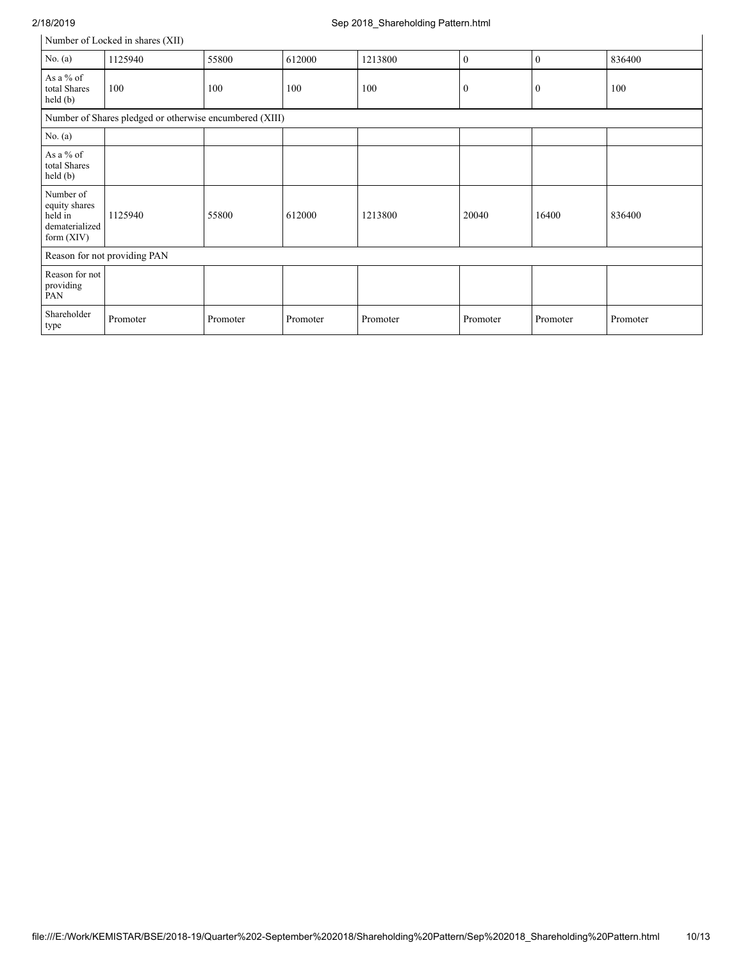# 2/18/2019 Sep 2018\_Shareholding Pattern.html

| Number of Locked in shares (XII) |  |  |  |
|----------------------------------|--|--|--|
|----------------------------------|--|--|--|

|                                                                         | Number of Locked in shares (XII)                        |          |          |          |              |              |          |  |
|-------------------------------------------------------------------------|---------------------------------------------------------|----------|----------|----------|--------------|--------------|----------|--|
| No. $(a)$                                                               | 1125940                                                 | 55800    | 612000   | 1213800  | $\mathbf{0}$ | $\mathbf{0}$ | 836400   |  |
| As a % of<br>total Shares<br>held(b)                                    | 100                                                     | 100      | 100      | 100      | $\mathbf{0}$ | $\bf{0}$     | 100      |  |
|                                                                         | Number of Shares pledged or otherwise encumbered (XIII) |          |          |          |              |              |          |  |
| No. $(a)$                                                               |                                                         |          |          |          |              |              |          |  |
| As a % of<br>total Shares<br>held (b)                                   |                                                         |          |          |          |              |              |          |  |
| Number of<br>equity shares<br>held in<br>dematerialized<br>form $(XIV)$ | 1125940                                                 | 55800    | 612000   | 1213800  | 20040        | 16400        | 836400   |  |
|                                                                         | Reason for not providing PAN                            |          |          |          |              |              |          |  |
| Reason for not<br>providing<br>PAN                                      |                                                         |          |          |          |              |              |          |  |
| Shareholder<br>type                                                     | Promoter                                                | Promoter | Promoter | Promoter | Promoter     | Promoter     | Promoter |  |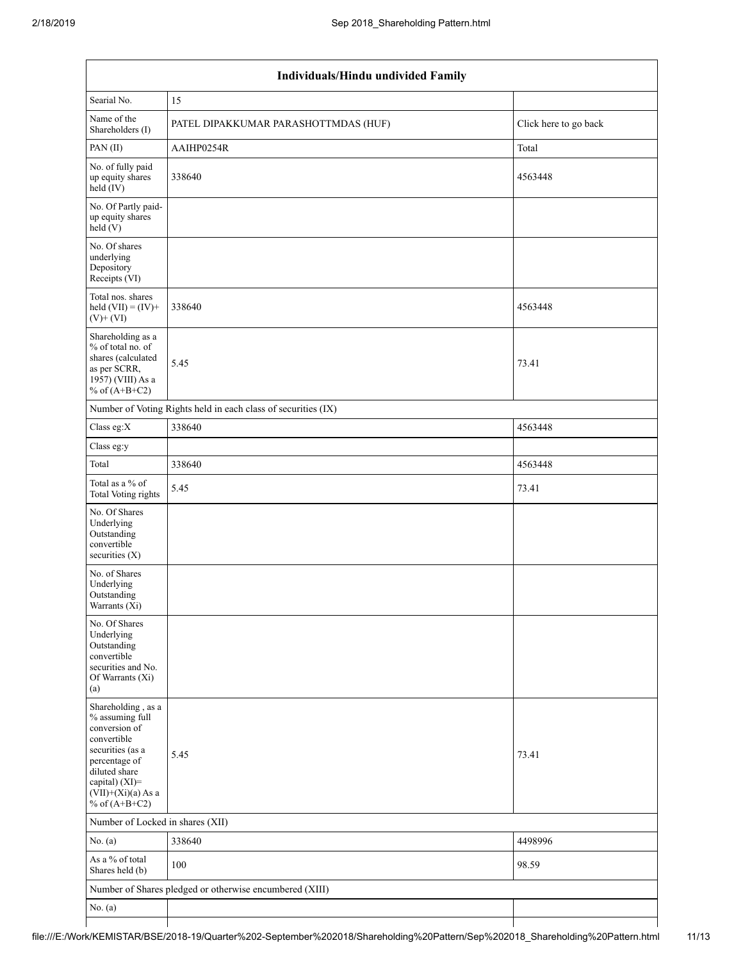| Individuals/Hindu undivided Family                                                                                                                                                       |                                                               |                       |  |  |  |  |  |  |
|------------------------------------------------------------------------------------------------------------------------------------------------------------------------------------------|---------------------------------------------------------------|-----------------------|--|--|--|--|--|--|
| Searial No.                                                                                                                                                                              | 15                                                            |                       |  |  |  |  |  |  |
| Name of the<br>Shareholders (I)                                                                                                                                                          | PATEL DIPAKKUMAR PARASHOTTMDAS (HUF)                          | Click here to go back |  |  |  |  |  |  |
| PAN(II)                                                                                                                                                                                  | AAIHP0254R                                                    | Total                 |  |  |  |  |  |  |
| No. of fully paid<br>up equity shares<br>$held$ (IV)                                                                                                                                     | 338640                                                        | 4563448               |  |  |  |  |  |  |
| No. Of Partly paid-<br>up equity shares<br>held(V)                                                                                                                                       |                                                               |                       |  |  |  |  |  |  |
| No. Of shares<br>underlying<br>Depository<br>Receipts (VI)                                                                                                                               |                                                               |                       |  |  |  |  |  |  |
| Total nos. shares<br>held $(VII) = (IV) +$<br>$(V) + (VI)$                                                                                                                               | 338640                                                        | 4563448               |  |  |  |  |  |  |
| Shareholding as a<br>% of total no. of<br>shares (calculated<br>as per SCRR,<br>1957) (VIII) As a<br>% of $(A+B+C2)$                                                                     | 5.45                                                          | 73.41                 |  |  |  |  |  |  |
|                                                                                                                                                                                          | Number of Voting Rights held in each class of securities (IX) |                       |  |  |  |  |  |  |
| Class eg:X                                                                                                                                                                               | 338640                                                        | 4563448               |  |  |  |  |  |  |
| Class eg:y                                                                                                                                                                               |                                                               |                       |  |  |  |  |  |  |
| Total                                                                                                                                                                                    | 338640                                                        | 4563448               |  |  |  |  |  |  |
| Total as a % of<br><b>Total Voting rights</b>                                                                                                                                            | 5.45                                                          | 73.41                 |  |  |  |  |  |  |
| No. Of Shares<br>Underlying<br>Outstanding<br>convertible<br>securities (X)                                                                                                              |                                                               |                       |  |  |  |  |  |  |
| No. of Shares<br>Underlying<br>Outstanding<br>Warrants (Xi)                                                                                                                              |                                                               |                       |  |  |  |  |  |  |
| No. Of Shares<br>Underlying<br>Outstanding<br>convertible<br>securities and No.<br>Of Warrants (Xi)<br>(a)                                                                               |                                                               |                       |  |  |  |  |  |  |
| Shareholding, as a<br>% assuming full<br>conversion of<br>convertible<br>securities (as a<br>percentage of<br>diluted share<br>capital) (XI)=<br>$(VII)+(Xi)(a)$ As a<br>% of $(A+B+C2)$ | 5.45                                                          | 73.41                 |  |  |  |  |  |  |
| Number of Locked in shares (XII)                                                                                                                                                         |                                                               |                       |  |  |  |  |  |  |
| No. $(a)$                                                                                                                                                                                | 338640                                                        | 4498996               |  |  |  |  |  |  |
| As a % of total<br>Shares held (b)                                                                                                                                                       | 100                                                           | 98.59                 |  |  |  |  |  |  |
|                                                                                                                                                                                          | Number of Shares pledged or otherwise encumbered (XIII)       |                       |  |  |  |  |  |  |
| No. $(a)$                                                                                                                                                                                |                                                               |                       |  |  |  |  |  |  |
|                                                                                                                                                                                          |                                                               |                       |  |  |  |  |  |  |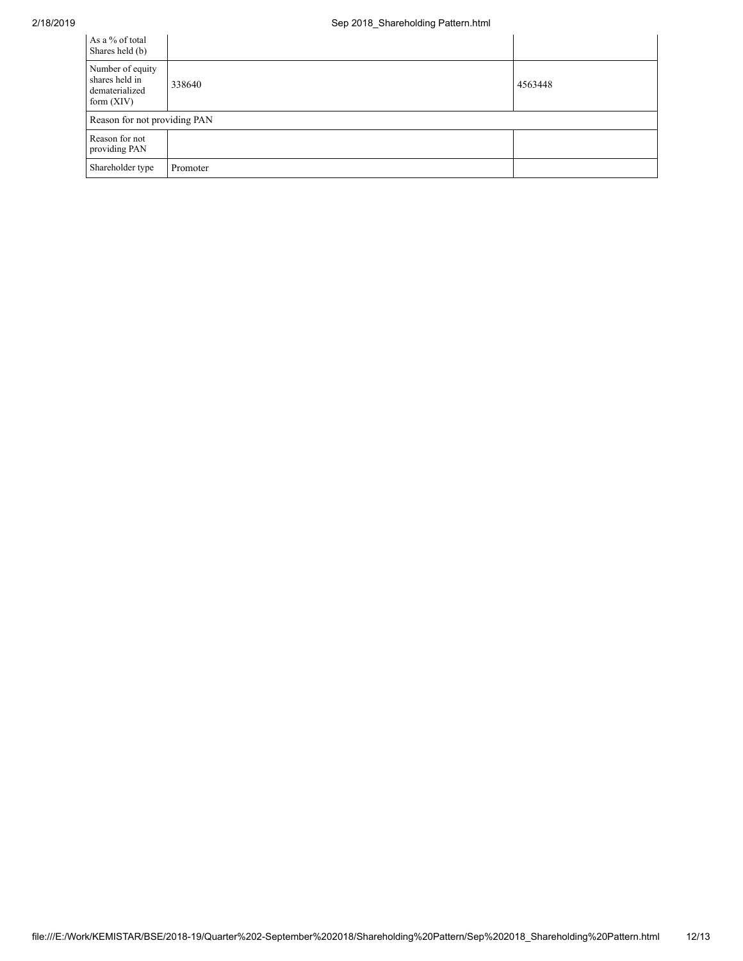| As a % of total<br>Shares held (b)                                   |          |         |
|----------------------------------------------------------------------|----------|---------|
| Number of equity<br>shares held in<br>dematerialized<br>form $(XIV)$ | 338640   | 4563448 |
| Reason for not providing PAN                                         |          |         |
| Reason for not<br>providing PAN                                      |          |         |
| Shareholder type                                                     | Promoter |         |